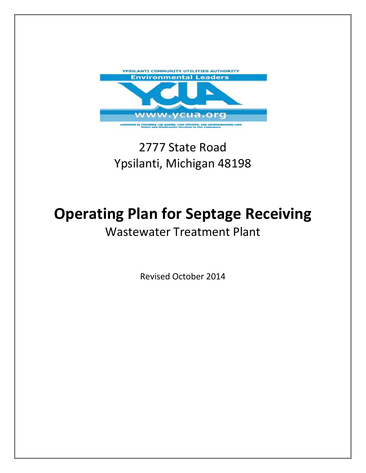

## 2777 State Road Ypsilanti, Michigan 48198

# **Operating Plan for Septage Receiving**

### Wastewater Treatment Plant

Revised October 2014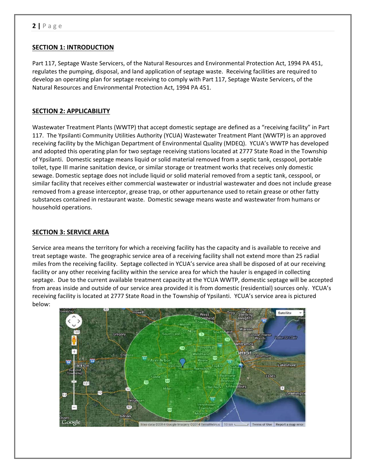#### **SECTION 1: INTRODUCTION**

Part 117, Septage Waste Servicers, of the Natural Resources and Environmental Protection Act, 1994 PA 451, regulates the pumping, disposal, and land application of septage waste. Receiving facilities are required to develop an operating plan for septage receiving to comply with Part 117, Septage Waste Servicers, of the Natural Resources and Environmental Protection Act, 1994 PA 451.

#### **SECTION 2: APPLICABILITY**

Wastewater Treatment Plants (WWTP) that accept domestic septage are defined as a "receiving facility" in Part 117. The Ypsilanti Community Utilities Authority (YCUA) Wastewater Treatment Plant (WWTP) is an approved receiving facility by the Michigan Department of Environmental Quality (MDEQ). YCUA's WWTP has developed and adopted this operating plan for two septage receiving stations located at 2777 State Road in the Township of Ypsilanti. Domestic septage means liquid or solid material removed from a septic tank, cesspool, portable toilet, type III marine sanitation device, or similar storage or treatment works that receives only domestic sewage. Domestic septage does not include liquid or solid material removed from a septic tank, cesspool, or similar facility that receives either commercial wastewater or industrial wastewater and does not include grease removed from a grease interceptor, grease trap, or other appurtenance used to retain grease or other fatty substances contained in restaurant waste. Domestic sewage means waste and wastewater from humans or household operations.

#### **SECTION 3: SERVICE AREA**

Service area means the territory for which a receiving facility has the capacity and is available to receive and treat septage waste. The geographic service area of a receiving facility shall not extend more than 25 radial miles from the receiving facility. Septage collected in YCUA's service area shall be disposed of at our receiving facility or any other receiving facility within the service area for which the hauler is engaged in collecting septage. Due to the current available treatment capacity at the YCUA WWTP, domestic septage will be accepted from areas inside and outside of our service area provided it is from domestic (residential) sources only. YCUA's receiving facility is located at 2777 State Road in the Township of Ypsilanti. YCUA's service area is pictured below:

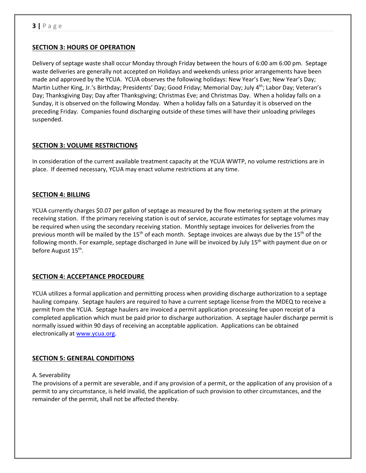#### **SECTION 3: HOURS OF OPERATION**

Delivery of septage waste shall occur Monday through Friday between the hours of 6:00 am 6:00 pm. Septage waste deliveries are generally not accepted on Holidays and weekends unless prior arrangements have been made and approved by the YCUA. YCUA observes the following holidays: New Year's Eve; New Year's Day; Martin Luther King, Jr.'s Birthday; Presidents' Day; Good Friday; Memorial Day; July 4<sup>th</sup>; Labor Day; Veteran's Day; Thanksgiving Day; Day after Thanksgiving; Christmas Eve; and Christmas Day. When a holiday falls on a Sunday, it is observed on the following Monday. When a holiday falls on a Saturday it is observed on the preceding Friday. Companies found discharging outside of these times will have their unloading privileges suspended.

#### **SECTION 3: VOLUME RESTRICTIONS**

In consideration of the current available treatment capacity at the YCUA WWTP, no volume restrictions are in place. If deemed necessary, YCUA may enact volume restrictions at any time.

#### **SECTION 4: BILLING**

YCUA currently charges \$0.07 per gallon of septage as measured by the flow metering system at the primary receiving station. If the primary receiving station is out of service, accurate estimates for septage volumes may be required when using the secondary receiving station. Monthly septage invoices for deliveries from the previous month will be mailed by the 15<sup>th</sup> of each month. Septage invoices are always due by the 15<sup>th</sup> of the following month. For example, septage discharged in June will be invoiced by July 15<sup>th</sup> with payment due on or before August 15<sup>th</sup>.

#### **SECTION 4: ACCEPTANCE PROCEDURE**

YCUA utilizes a formal application and permitting process when providing discharge authorization to a septage hauling company. Septage haulers are required to have a current septage license from the MDEQ to receive a permit from the YCUA. Septage haulers are invoiced a permit application processing fee upon receipt of a completed application which must be paid prior to discharge authorization. A septage hauler discharge permit is normally issued within 90 days of receiving an acceptable application. Applications can be obtained electronically at www.ycua.org.

#### **SECTION 5: GENERAL CONDITIONS**

#### A. Severability

The provisions of a permit are severable, and if any provision of a permit, or the application of any provision of a permit to any circumstance, is held invalid, the application of such provision to other circumstances, and the remainder of the permit, shall not be affected thereby.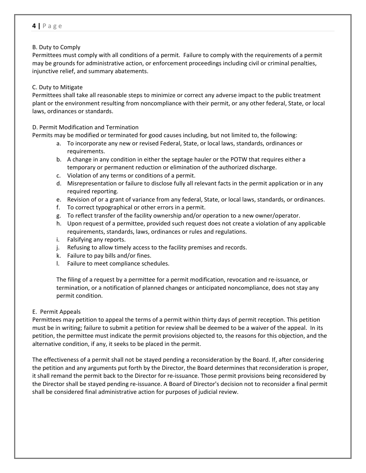#### B. Duty to Comply

Permittees must comply with all conditions of a permit. Failure to comply with the requirements of a permit may be grounds for administrative action, or enforcement proceedings including civil or criminal penalties, injunctive relief, and summary abatements.

#### C. Duty to Mitigate

Permittees shall take all reasonable steps to minimize or correct any adverse impact to the public treatment plant or the environment resulting from noncompliance with their permit, or any other federal, State, or local laws, ordinances or standards.

#### D. Permit Modification and Termination

Permits may be modified or terminated for good causes including, but not limited to, the following:

- a. To incorporate any new or revised Federal, State, or local laws, standards, ordinances or requirements.
- b. A change in any condition in either the septage hauler or the POTW that requires either a temporary or permanent reduction or elimination of the authorized discharge.
- c. Violation of any terms or conditions of a permit.
- d. Misrepresentation or failure to disclose fully all relevant facts in the permit application or in any required reporting.
- e. Revision of or a grant of variance from any federal, State, or local laws, standards, or ordinances.
- f. To correct typographical or other errors in a permit.
- g. To reflect transfer of the facility ownership and/or operation to a new owner/operator.
- h. Upon request of a permittee, provided such request does not create a violation of any applicable requirements, standards, laws, ordinances or rules and regulations.
- i. Falsifying any reports.
- j. Refusing to allow timely access to the facility premises and records.
- k. Failure to pay bills and/or fines.
- l. Failure to meet compliance schedules.

The filing of a request by a permittee for a permit modification, revocation and re‐issuance, or termination, or a notification of planned changes or anticipated noncompliance, does not stay any permit condition.

#### E. Permit Appeals

Permittees may petition to appeal the terms of a permit within thirty days of permit reception. This petition must be in writing; failure to submit a petition for review shall be deemed to be a waiver of the appeal. In its petition, the permittee must indicate the permit provisions objected to, the reasons for this objection, and the alternative condition, if any, it seeks to be placed in the permit.

The effectiveness of a permit shall not be stayed pending a reconsideration by the Board. If, after considering the petition and any arguments put forth by the Director, the Board determines that reconsideration is proper, it shall remand the permit back to the Director for re‐issuance. Those permit provisions being reconsidered by the Director shall be stayed pending re‐issuance. A Board of Director's decision not to reconsider a final permit shall be considered final administrative action for purposes of judicial review.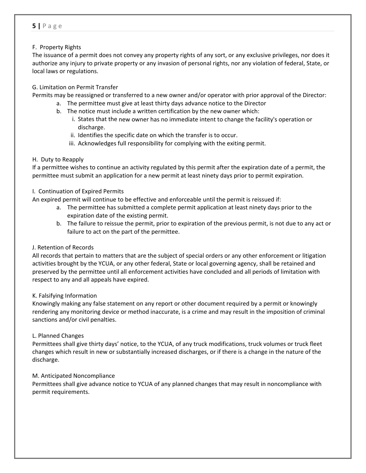#### F. Property Rights

The issuance of a permit does not convey any property rights of any sort, or any exclusive privileges, nor does it authorize any injury to private property or any invasion of personal rights, nor any violation of federal, State, or local laws or regulations.

#### G. Limitation on Permit Transfer

Permits may be reassigned or transferred to a new owner and/or operator with prior approval of the Director:

- a. The permittee must give at least thirty days advance notice to the Director
- b. The notice must include a written certification by the new owner which:
	- i. States that the new owner has no immediate intent to change the facility's operation or discharge.
	- ii. Identifies the specific date on which the transfer is to occur.
	- iii. Acknowledges full responsibility for complying with the exiting permit.

#### H. Duty to Reapply

If a permittee wishes to continue an activity regulated by this permit after the expiration date of a permit, the permittee must submit an application for a new permit at least ninety days prior to permit expiration.

#### I. Continuation of Expired Permits

An expired permit will continue to be effective and enforceable until the permit is reissued if:

- a. The permittee has submitted a complete permit application at least ninety days prior to the expiration date of the existing permit.
- b. The failure to reissue the permit, prior to expiration of the previous permit, is not due to any act or failure to act on the part of the permittee.

#### J. Retention of Records

All records that pertain to matters that are the subject of special orders or any other enforcement or litigation activities brought by the YCUA, or any other federal, State or local governing agency, shall be retained and preserved by the permittee until all enforcement activities have concluded and all periods of limitation with respect to any and all appeals have expired.

#### K. Falsifying Information

Knowingly making any false statement on any report or other document required by a permit or knowingly rendering any monitoring device or method inaccurate, is a crime and may result in the imposition of criminal sanctions and/or civil penalties.

#### L. Planned Changes

Permittees shall give thirty days' notice, to the YCUA, of any truck modifications, truck volumes or truck fleet changes which result in new or substantially increased discharges, or if there is a change in the nature of the discharge.

#### M. Anticipated Noncompliance

Permittees shall give advance notice to YCUA of any planned changes that may result in noncompliance with permit requirements.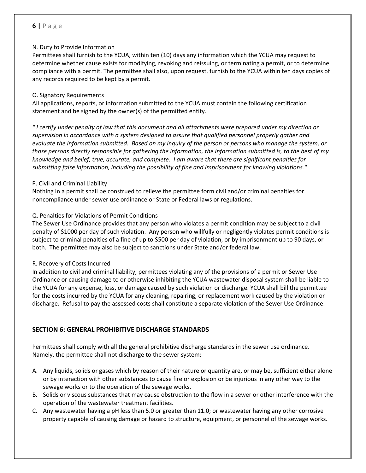#### N. Duty to Provide Information

Permittees shall furnish to the YCUA, within ten (10) days any information which the YCUA may request to determine whether cause exists for modifying, revoking and reissuing, or terminating a permit, or to determine compliance with a permit. The permittee shall also, upon request, furnish to the YCUA within ten days copies of any records required to be kept by a permit.

#### O. Signatory Requirements

All applications, reports, or information submitted to the YCUA must contain the following certification statement and be signed by the owner(s) of the permitted entity.

"I certify under penalty of law that this document and all attachments were prepared under my direction or *supervision in accordance with a system designed to assure that qualified personnel properly gather and* evaluate the information submitted. Based on my inquiry of the person or persons who manage the system, or those persons directly responsible for gathering the information, the information submitted is, to the best of my *knowledge and belief, true, accurate, and complete. I am aware that there are significant penalties for submitting false information, including the possibility of fine and imprisonment for knowing violations."*

#### P. Civil and Criminal Liability

Nothing in a permit shall be construed to relieve the permittee form civil and/or criminal penalties for noncompliance under sewer use ordinance or State or Federal laws or regulations.

#### Q. Penalties for Violations of Permit Conditions

The Sewer Use Ordinance provides that any person who violates a permit condition may be subject to a civil penalty of \$1000 per day of such violation. Any person who willfully or negligently violates permit conditions is subject to criminal penalties of a fine of up to \$500 per day of violation, or by imprisonment up to 90 days, or both. The permittee may also be subject to sanctions under State and/or federal law.

#### R. Recovery of Costs Incurred

In addition to civil and criminal liability, permittees violating any of the provisions of a permit or Sewer Use Ordinance or causing damage to or otherwise inhibiting the YCUA wastewater disposal system shall be liable to the YCUA for any expense, loss, or damage caused by such violation or discharge. YCUA shall bill the permittee for the costs incurred by the YCUA for any cleaning, repairing, or replacement work caused by the violation or discharge. Refusal to pay the assessed costs shall constitute a separate violation of the Sewer Use Ordinance.

#### **SECTION 6: GENERAL PROHIBITIVE DISCHARGE STANDARDS**

Permittees shall comply with all the general prohibitive discharge standards in the sewer use ordinance. Namely, the permittee shall not discharge to the sewer system:

- A. Any liquids, solids or gases which by reason of their nature or quantity are, or may be, sufficient either alone or by interaction with other substances to cause fire or explosion or be injurious in any other way to the sewage works or to the operation of the sewage works.
- B. Solids or viscous substances that may cause obstruction to the flow in a sewer or other interference with the operation of the wastewater treatment facilities.
- C. Any wastewater having a pH less than 5.0 or greater than 11.0; or wastewater having any other corrosive property capable of causing damage or hazard to structure, equipment, or personnel of the sewage works.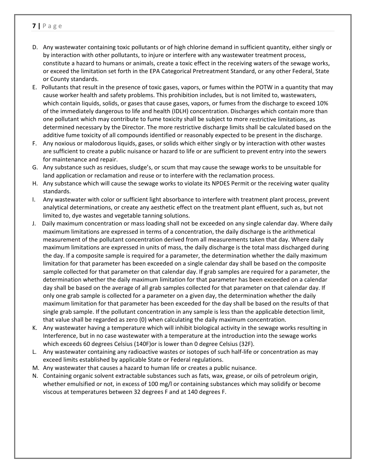- D. Any wastewater containing toxic pollutants or of high chlorine demand in sufficient quantity, either singly or by interaction with other pollutants, to injure or interfere with any wastewater treatment process, constitute a hazard to humans or animals, create a toxic effect in the receiving waters of the sewage works, or exceed the limitation set forth in the EPA Categorical Pretreatment Standard, or any other Federal, State or County standards.
- E. Pollutants that result in the presence of toxic gases, vapors, or fumes within the POTW in a quantity that may cause worker health and safety problems. This prohibition includes, but is not limited to, wastewaters, which contain liquids, solids, or gases that cause gases, vapors, or fumes from the discharge to exceed 10% of the immediately dangerous to life and health (IDLH) concentration. Discharges which contain more than one pollutant which may contribute to fume toxicity shall be subject to more restrictive limitations, as determined necessary by the Director. The more restrictive discharge limits shall be calculated based on the additive fume toxicity of all compounds identified or reasonably expected to be present in the discharge.
- F. Any noxious or malodorous liquids, gases, or solids which either singly or by interaction with other wastes are sufficient to create a public nuisance or hazard to life or are sufficient to prevent entry into the sewers for maintenance and repair.
- G. Any substance such as residues, sludge's, or scum that may cause the sewage works to be unsuitable for land application or reclamation and reuse or to interfere with the reclamation process.
- H. Any substance which will cause the sewage works to violate its NPDES Permit or the receiving water quality standards.
- I. Any wastewater with color or sufficient light absorbance to interfere with treatment plant process, prevent analytical determinations, or create any aesthetic effect on the treatment plant effluent, such as, but not limited to, dye wastes and vegetable tanning solutions.
- J. Daily maximum concentration or mass loading shall not be exceeded on any single calendar day. Where daily maximum limitations are expressed in terms of a concentration, the daily discharge is the arithmetical measurement of the pollutant concentration derived from all measurements taken that day. Where daily maximum limitations are expressed in units of mass, the daily discharge is the total mass discharged during the day. If a composite sample is required for a parameter, the determination whether the daily maximum limitation for that parameter has been exceeded on a single calendar day shall be based on the composite sample collected for that parameter on that calendar day. If grab samples are required for a parameter, the determination whether the daily maximum limitation for that parameter has been exceeded on a calendar day shall be based on the average of all grab samples collected for that parameter on that calendar day. If only one grab sample is collected for a parameter on a given day, the determination whether the daily maximum limitation for that parameter has been exceeded for the day shall be based on the results of that single grab sample. If the pollutant concentration in any sample is less than the applicable detection limit, that value shall be regarded as zero (0) when calculating the daily maximum concentration.
- K. Any wastewater having a temperature which will inhibit biological activity in the sewage works resulting in Interference, but in no case wastewater with a temperature at the introduction into the sewage works which exceeds 60 degrees Celsius (140F)or is lower than 0 degree Celsius (32F).
- L. Any wastewater containing any radioactive wastes or isotopes of such half‐life or concentration as may exceed limits established by applicable State or Federal regulations.
- M. Any wastewater that causes a hazard to human life or creates a public nuisance.
- N. Containing organic solvent extractable substances such as fats, wax, grease, or oils of petroleum origin, whether emulsified or not, in excess of 100 mg/l or containing substances which may solidify or become viscous at temperatures between 32 degrees F and at 140 degrees F.